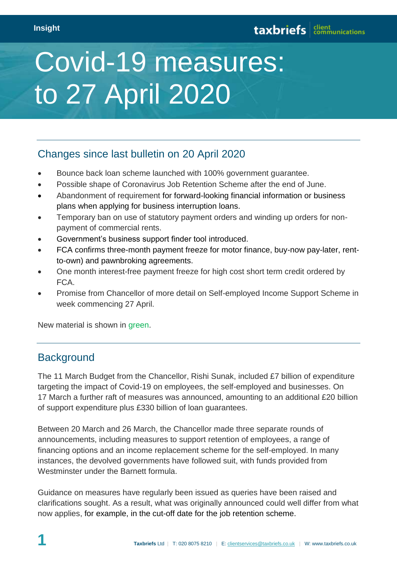# Covid-19 measures: to 27 April 2020

# Changes since last bulletin on 20 April 2020

- Bounce back loan scheme launched with 100% government guarantee.
- Possible shape of Coronavirus Job Retention Scheme after the end of June.
- Abandonment of requirement for forward-looking financial information or business plans when applying for business interruption loans.
- Temporary ban on use of statutory payment orders and winding up orders for nonpayment of commercial rents.
- Government's business support finder tool introduced.
- FCA confirms three-month payment freeze for motor finance, buy-now pay-later, rentto-own) and pawnbroking agreements.
- One month interest-free payment freeze for high cost short term credit ordered by FCA.
- Promise from Chancellor of more detail on Self-employed Income Support Scheme in week commencing 27 April.

New material is shown in green.

# **Background**

The 11 March Budget from the Chancellor, Rishi Sunak, included £7 billion of expenditure targeting the impact of Covid-19 on employees, the self-employed and businesses. On 17 March a further raft of measures was announced, amounting to an additional £20 billion of support expenditure plus £330 billion of loan guarantees.

Between 20 March and 26 March, the Chancellor made three separate rounds of announcements, including measures to support retention of employees, a range of financing options and an income replacement scheme for the self-employed. In many instances, the devolved governments have followed suit, with funds provided from Westminster under the Barnett formula.

Guidance on measures have regularly been issued as queries have been raised and clarifications sought. As a result, what was originally announced could well differ from what now applies, for example, in the cut-off date for the job retention scheme.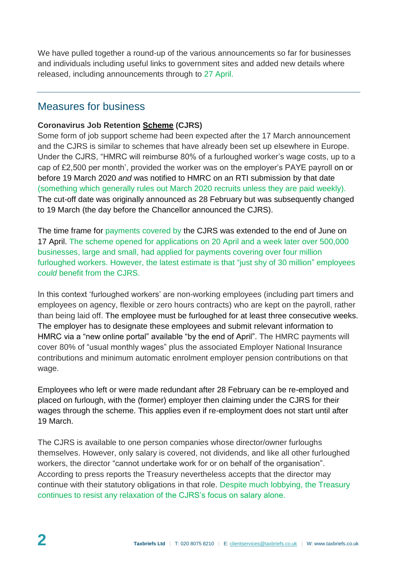We have pulled together a round-up of the various announcements so far for businesses and individuals including useful links to government sites and added new details where released, including announcements through to 27 April.

# Measures for business

## **Coronavirus Job Retention [Scheme](https://www.gov.uk/guidance/claim-for-wage-costs-through-the-coronavirus-job-retention-scheme) (CJRS)**

Some form of job support scheme had been expected after the 17 March announcement and the CJRS is similar to schemes that have already been set up elsewhere in Europe. Under the CJRS, "HMRC will reimburse 80% of a furloughed worker's wage costs, up to a cap of £2,500 per month', provided the worker was on the employer's PAYE payroll on or before 19 March 2020 *and* was notified to HMRC on an RTI submission by that date (something which generally rules out March 2020 recruits unless they are paid weekly). The cut-off date was originally announced as 28 February but was subsequently changed to 19 March (the day before the Chancellor announced the CJRS).

The time frame for payments covered by the CJRS was extended to the end of June on 17 April. The scheme opened for applications on 20 April and a week later over 500,000 businesses, large and small, had applied for payments covering over four million furloughed workers. However, the latest estimate is that "just shy of 30 million" employees *could* benefit from the CJRS.

In this context 'furloughed workers' are non-working employees (including part timers and employees on agency, flexible or zero hours contracts) who are kept on the payroll, rather than being laid off. The employee must be furloughed for at least three consecutive weeks. The employer has to designate these employees and submit relevant information to HMRC via a "new online portal" available "by the end of April". The HMRC payments will cover 80% of "usual monthly wages" plus the associated Employer National Insurance contributions and minimum automatic enrolment employer pension contributions on that wage.

Employees who left or were made redundant after 28 February can be re-employed and placed on furlough, with the (former) employer then claiming under the CJRS for their wages through the scheme. This applies even if re-employment does not start until after 19 March.

The CJRS is available to one person companies whose director/owner furloughs themselves. However, only salary is covered, not dividends, and like all other furloughed workers, the director "cannot undertake work for or on behalf of the organisation". According to press reports the Treasury nevertheless accepts that the director may continue with their statutory obligations in that role. Despite much lobbying, the Treasury continues to resist any relaxation of the CJRS's focus on salary alone.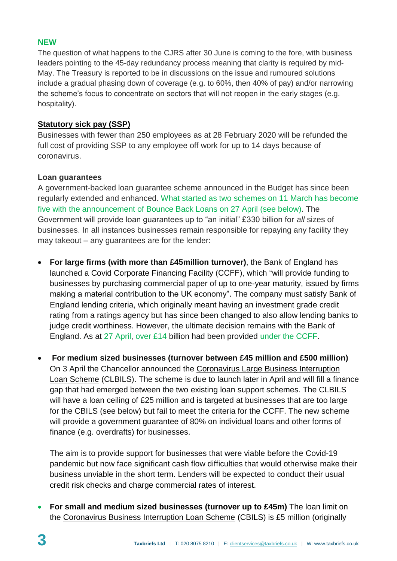## **NEW**

The question of what happens to the CJRS after 30 June is coming to the fore, with business leaders pointing to the 45-day redundancy process meaning that clarity is required by mid-May. The Treasury is reported to be in discussions on the issue and rumoured solutions include a gradual phasing down of coverage (e.g. to 60%, then 40% of pay) and/or narrowing the scheme's focus to concentrate on sectors that will not reopen in the early stages (e.g. hospitality).

# **[Statutory sick pay](https://www.gov.uk/government/publications/guidance-to-employers-and-businesses-about-covid-19/covid-19-support-for-businesses#support-for-businesses-who-are-paying-sick-pay-to-employees) (SSP)**

Businesses with fewer than 250 employees as at 28 February 2020 will be refunded the full cost of providing SSP to any employee off work for up to 14 days because of coronavirus.

## **Loan guarantees**

A government-backed loan guarantee scheme announced in the Budget has since been regularly extended and enhanced. What started as two schemes on 11 March has become five with the announcement of Bounce Back Loans on 27 April (see below). The Government will provide loan guarantees up to "an initial" £330 billion for *all* sizes of businesses. In all instances businesses remain responsible for repaying any facility they may takeout – any guarantees are for the lender:

- **For large firms (with more than £45million turnover)**, the Bank of England has launched a [Covid Corporate Financing Facility](https://www.bankofengland.co.uk/news/2020/march/hmt-and-boe-launch-a-covid-corporate-financing-facility) (CCFF), which "will provide funding to businesses by purchasing commercial paper of up to one-year maturity, issued by firms making a material contribution to the UK economy". The company must satisfy Bank of England lending criteria, which originally meant having an investment grade credit rating from a ratings agency but has since been changed to also allow lending banks to judge credit worthiness. However, the ultimate decision remains with the Bank of England. As at 27 April, over £14 billion had been provided under the CCFF.
- **For medium sized businesses (turnover between £45 million and £500 million)**  On 3 April the Chancellor announced the Coronavirus Large [Business Interruption](https://www.gov.uk/government/publications/guidance-to-employers-and-businesses-about-covid-19/covid-19-support-for-businesses#support-for-large-businesses-through-the-coronavirus-large-business-interruption-loan-scheme)  [Loan Scheme](https://www.gov.uk/government/publications/guidance-to-employers-and-businesses-about-covid-19/covid-19-support-for-businesses#support-for-large-businesses-through-the-coronavirus-large-business-interruption-loan-scheme) (CLBILS). The scheme is due to launch later in April and will fill a finance gap that had emerged between the two existing loan support schemes. The CLBILS will have a loan ceiling of £25 million and is targeted at businesses that are too large for the CBILS (see below) but fail to meet the criteria for the CCFF. The new scheme will provide a government guarantee of 80% on individual loans and other forms of finance (e.g. overdrafts) for businesses.

The aim is to provide support for businesses that were viable before the Covid-19 pandemic but now face significant cash flow difficulties that would otherwise make their business unviable in the short term. Lenders will be expected to conduct their usual credit risk checks and charge commercial rates of interest.

 **For small and medium sized businesses (turnover up to £45m)** The loan limit on the [Coronavirus Business Interruption Loan Scheme](https://www.gov.uk/guidance/apply-for-the-coronavirus-business-interruption-loan-scheme) (CBILS) is £5 million (originally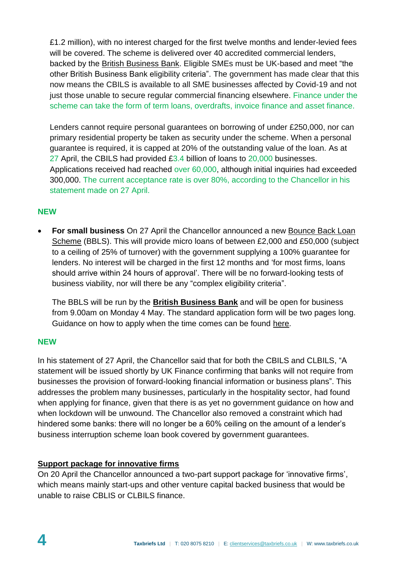£1.2 million), with no interest charged for the first twelve months and lender-levied fees will be covered. The scheme is delivered over 40 accredited commercial lenders, backed by the [British Business Bank.](https://www.british-business-bank.co.uk/ourpartners/coronavirus-business-interruption-loan-scheme-cbils-2/) Eligible SMEs must be UK-based and meet "the other British Business Bank eligibility criteria". The government has made clear that this now means the CBILS is available to all SME businesses affected by Covid-19 and not just those unable to secure regular commercial financing elsewhere. Finance under the scheme can take the form of term loans, overdrafts, invoice finance and asset finance.

Lenders cannot require personal guarantees on borrowing of under £250,000, nor can primary residential property be taken as security under the scheme. When a personal guarantee is required, it is capped at 20% of the outstanding value of the loan. As at 27 April, the CBILS had provided £3.4 billion of loans to 20,000 businesses. Applications received had reached over 60,000, although initial inquiries had exceeded 300,000. The current acceptance rate is over 80%, according to the Chancellor in his statement made on 27 April.

#### **NEW**

 **For small business** On 27 April the Chancellor announced a new [Bounce Back Loan](https://www.gov.uk/government/news/small-businesses-boosted-by-bounce-back-loans)  [Scheme](https://www.gov.uk/government/news/small-businesses-boosted-by-bounce-back-loans) (BBLS). This will provide micro loans of between £2,000 and £50,000 (subject to a ceiling of 25% of turnover) with the government supplying a 100% guarantee for lenders. No interest will be charged in the first 12 months and 'for most firms, loans should arrive within 24 hours of approval'. There will be no forward-looking tests of business viability, nor will there be any "complex eligibility criteria".

The BBLS will be run by the **[British Business Bank](https://www.british-business-bank.co.uk/ourpartners/coronavirus-business-interruption-loan-scheme-cbils-2/)** and will be open for business from 9.00am on Monday 4 May. The standard application form will be two pages long. Guidance on how to apply when the time comes can be found [here.](https://www.gov.uk/guidance/apply-for-a-coronavirus-bounce-back-loan)

#### **NEW**

In his statement of 27 April, the Chancellor said that for both the CBILS and CLBILS, "A statement will be issued shortly by UK Finance confirming that banks will not require from businesses the provision of forward-looking financial information or business plans". This addresses the problem many businesses, particularly in the hospitality sector, had found when applying for finance, given that there is as yet no government guidance on how and when lockdown will be unwound. The Chancellor also removed a constraint which had hindered some banks: there will no longer be a 60% ceiling on the amount of a lender's business interruption scheme loan book covered by government guarantees.

## **[Support package for innovative firms](https://www.gov.uk/government/news/billion-pound-support-package-for-innovative-firms-hit-by-coronavirus)**

On 20 April the Chancellor announced a two-part support package for 'innovative firms', which means mainly start-ups and other venture capital backed business that would be unable to raise CBLIS or CLBILS finance.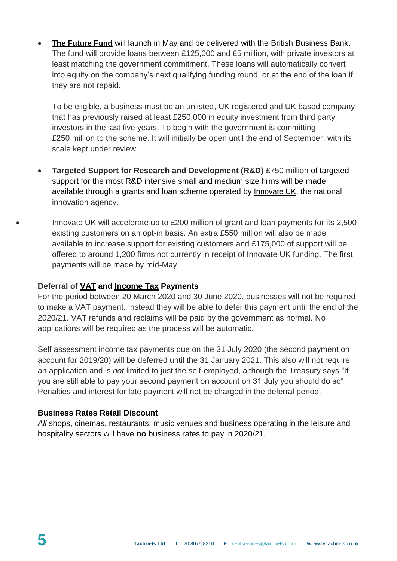**[The Future Fund](https://www.gov.uk/guidance/future-fund)** will launch in May and be delivered with the [British Business Bank.](https://www.british-business-bank.co.uk/) The fund will provide loans between £125,000 and £5 million, with private investors at least matching the government commitment. These loans will automatically convert into equity on the company's next qualifying funding round, or at the end of the loan if they are not repaid.

To be eligible, a business must be an unlisted, UK registered and UK based company that has previously raised at least £250,000 in equity investment from third party investors in the last five years. To begin with the government is committing £250 million to the scheme. It will initially be open until the end of September, with its scale kept under review.

- **Targeted Support for Research and Development (R&D)** £750 million of targeted support for the most R&D intensive small and medium size firms will be made available through a grants and loan scheme operated by [Innovate UK](https://www.gov.uk/government/organisations/innovate-uk), the national innovation agency.
- Innovate UK will accelerate up to £200 million of grant and loan payments for its 2,500 existing customers on an opt-in basis. An extra £550 million will also be made available to increase support for existing customers and £175,000 of support will be offered to around 1,200 firms not currently in receipt of Innovate UK funding. The first payments will be made by mid-May.

## **Deferral of [VAT](https://www.gov.uk/guidance/deferral-of-vat-payments-due-to-coronavirus-covid-19) and [Income Tax](https://www.gov.uk/pay-self-assessment-tax-bill) Payments**

For the period between 20 March 2020 and 30 June 2020, businesses will not be required to make a VAT payment. Instead they will be able to defer this payment until the end of the 2020/21. VAT refunds and reclaims will be paid by the government as normal. No applications will be required as the process will be automatic.

Self assessment income tax payments due on the 31 July 2020 (the second payment on account for 2019/20) will be deferred until the 31 January 2021. This also will not require an application and is *not* limited to just the self-employed, although the Treasury says "If you are still able to pay your second payment on account on 31 July you should do so". Penalties and interest for late payment will not be charged in the deferral period.

#### **[Business Rates Retail Discount](https://www.gov.uk/government/publications/guidance-to-employers-and-businesses-about-covid-19/covid-19-support-for-businesses#support-for-retail-hospitality-and-leisure-businesses-that-pay-business-rates)**

*All* shops, cinemas, restaurants, music venues and business operating in the leisure and hospitality sectors will have **no** business rates to pay in 2020/21.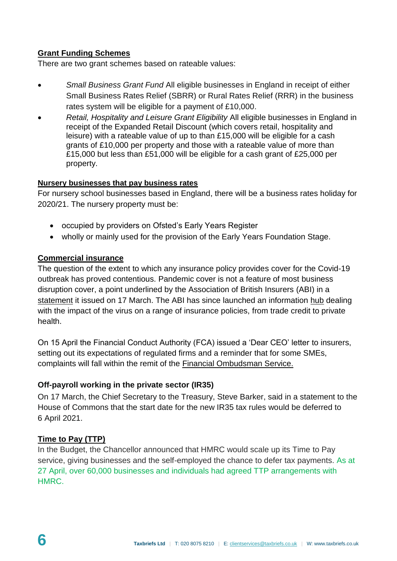## **[Grant Funding Schemes](https://assets.publishing.service.gov.uk/government/uploads/system/uploads/attachment_data/file/878082/small-business-grant-and-retail-leisure-hospitality-grant-guidance-for-businesses-v2.pdf)**

There are two grant schemes based on rateable values:

- *Small Business Grant Fund* All eligible businesses in England in receipt of either Small Business Rates Relief (SBRR) or Rural Rates Relief (RRR) in the business rates system will be eligible for a payment of £10,000.
- *Retail, Hospitality and Leisure Grant Eligibility* All eligible businesses in England in receipt of the Expanded Retail Discount (which covers retail, hospitality and leisure) with a rateable value of up to than £15,000 will be eligible for a cash grants of £10,000 per property and those with a rateable value of more than £15,000 but less than £51,000 will be eligible for a cash grant of £25,000 per property.

#### **[Nursery businesses that pay business rates](https://assets.publishing.service.gov.uk/government/uploads/system/uploads/attachment_data/file/877772/Nursery_discount_guidance_April_2020.pdf)**

For nursery school businesses based in England, there will be a business rates holiday for 2020/21. The nursery property must be:

- occupied by providers on Ofsted's Early Years Register
- wholly or mainly used for the provision of the Early Years Foundation Stage.

#### **[Commercial insurance](https://www.gov.uk/government/publications/guidance-to-employers-and-businesses-about-covid-19/covid-19-support-for-businesses#commercial-insurance)**

The question of the extent to which any insurance policy provides cover for the Covid-19 outbreak has proved contentious. Pandemic cover is not a feature of most business disruption cover, a point underlined by the Association of British Insurers (ABI) in a [statement](https://www.abi.org.uk/news/news-articles/2020/03/statement-on-business-insurance-and-coronavirus/) it issued on 17 March. The ABI has since launched an information [hub](https://www.abi.org.uk/products-and-issues/topics-and-issues/coronavirus-hub/) dealing with the impact of the virus on a range of insurance policies, from trade credit to private health.

On 15 April the Financial Conduct Authority (FCA) issued a 'Dear CEO' letter to insurers, setting out its expectations of regulated firms and a reminder that for some SMEs, complaints will fall within the remit of the [Financial Ombudsman Service](https://www.financial-ombudsman.org.uk/).

## **Off-payroll working in the private sector (IR35)**

On 17 March, the Chief Secretary to the Treasury, Steve Barker, said in a statement to the House of Commons that the start date for the new IR35 tax rules would be deferred to 6 April 2021.

## **[Time to Pay](https://www.gov.uk/difficulties-paying-hmrc) (TTP)**

In the Budget, the Chancellor announced that HMRC would scale up its Time to Pay service, giving businesses and the self-employed the chance to defer tax payments. As at 27 April, over 60,000 businesses and individuals had agreed TTP arrangements with HMRC.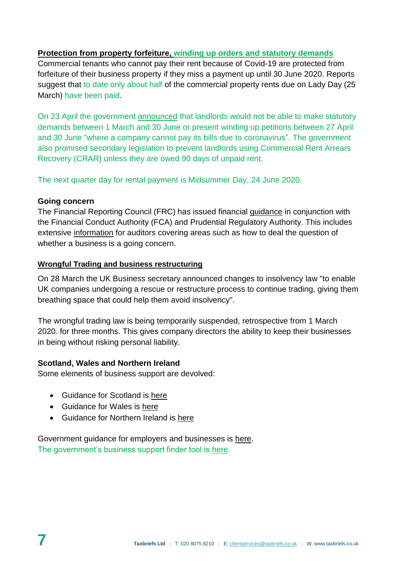## **[Protection from property forfeiture,](https://www.gov.uk/government/news/extra-protection-for-businesses-with-ban-on-evictions-for-commercial-tenants-who-miss-rent-payments) winding up orders and statutory demands**

Commercial tenants who cannot pay their rent because of Covid-19 are protected from forfeiture of their business property if they miss a payment up until 30 June 2020. Reports suggest that to date only about half of the commercial property rents due on Lady Day (25 March) have been paid.

On 23 April the government [announced](https://www.gov.uk/government/news/new-measures-to-protect-uk-high-street-from-aggressive-rent-collection-and-closure) that landlords would not be able to make statutory demands between 1 March and 30 June or present winding up petitions between 27 April and 30 June "where a company cannot pay its bills due to coronavirus". The government also promised secondary legislation to prevent landlords using Commercial Rent Arrears Recovery (CRAR) unless they are owed 90 days of unpaid rent.

The next quarter day for rental payment is Midsummer Day, 24 June 2020.

## **Going concern**

The Financial Reporting Council (FRC) has issued financial [guidance](https://www.frc.org.uk/about-the-frc/covid-19/covid19-joint-statement-26th-march-2020) in conjunction with the Financial Conduct Authority (FCA) and Prudential Regulatory Authority. This includes extensive [information](https://www.frc.org.uk/about-the-frc/covid-19/covid-19-bulletin-march-2020) for auditors covering areas such as how to deal the question of whether a business is a going concern.

#### **[Wrongful Trading and business restructuring](https://protect-eu.mimecast.com/s/xpQyCwVY0HLlnjKHVQTF0?domain=gov.uk)**

On 28 March the UK Business secretary announced changes to insolvency law "to enable UK companies undergoing a rescue or restructure process to continue trading, giving them breathing space that could help them avoid insolvency".

The wrongful trading law is being temporarily suspended, retrospective from 1 March 2020. for three months. This gives company directors the ability to keep their businesses in being without risking personal liability.

## **Scotland, Wales and Northern Ireland**

Some elements of business support are devolved:

- Guidance for Scotland is [here](https://www.gov.uk/guidance/coronavirus-covid-19-information-for-individuals-and-businesses-in-scotland)
- Guidance for Wales is [here](https://www.gov.uk/guidance/coronavirus-covid-19-information-for-individuals-and-businesses-in-wales#business-support-helplines)
- Guidance for Northern Ireland is [here](https://www.gov.uk/government/news/covid-19-guidance-information-for-ni-businesses-employers#businesses)

Government guidance for employers and businesses is [here.](https://www.gov.uk/government/publications/guidance-to-employers-and-businesses-about-covid-19/covid-19-support-for-businesses#support-for-nursery-businesses-that-pay-business-rates) The government's business support finder tool is [here.](https://www.gov.uk/business-coronavirus-support-finder)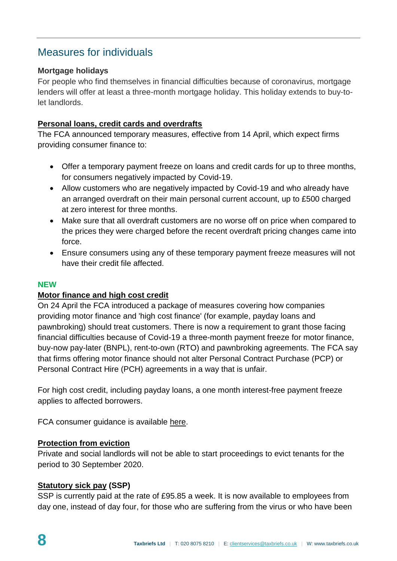# Measures for individuals

#### **Mortgage holidays**

For people who find themselves in financial difficulties because of coronavirus, mortgage lenders will offer at least a three-month mortgage holiday. This holiday extends to buy-tolet landlords.

#### **[Personal loans, credit cards and overdrafts](https://www.fca.org.uk/publications/feedback-statements/fs20-3-temporary-financial-relief-consumers-coronavirus-feedback-draft-guidance-rules)**

The FCA announced temporary measures, effective from 14 April, which expect firms providing consumer finance to:

- Offer a temporary payment freeze on loans and credit cards for up to three months, for consumers negatively impacted by Covid-19.
- Allow customers who are negatively impacted by Covid-19 and who already have an arranged overdraft on their main personal current account, up to £500 charged at zero interest for three months.
- Make sure that all overdraft customers are no worse off on price when compared to the prices they were charged before the recent overdraft pricing changes came into force.
- Ensure consumers using any of these temporary payment freeze measures will not have their credit file affected.

#### **NEW**

#### **[Motor finance and high cost credit](https://www.fca.org.uk/news/press-releases/fca-confirms-support-motor-finance-and-high-cost-credit-customers)**

On 24 April the FCA introduced a package of measures covering how companies providing motor finance and 'high cost finance' (for example, payday loans and pawnbroking) should treat customers. There is now a requirement to grant those facing financial difficulties because of Covid-19 a three-month payment freeze for motor finance, buy-now pay-later (BNPL), rent-to-own (RTO) and pawnbroking agreements. The FCA say that firms offering motor finance should not alter Personal Contract Purchase (PCP) or Personal Contract Hire (PCH) agreements in a way that is unfair.

For high cost credit, including payday loans, a one month interest-free payment freeze applies to affected borrowers.

FCA consumer guidance is available [here.](https://www.fca.org.uk/coronavirus-support)

#### **[Protection from eviction](https://www.gov.uk/guidance/government-support-available-for-landlords-and-renters-reflecting-the-current-coronavirus-covid-19-outbreak)**

Private and social landlords will not be able to start proceedings to evict tenants for the period to 30 September 2020.

#### **[Statutory sick pay](https://www.gov.uk/statutory-sick-pay) (SSP)**

SSP is currently paid at the rate of £95.85 a week. It is now available to employees from day one, instead of day four, for those who are suffering from the virus or who have been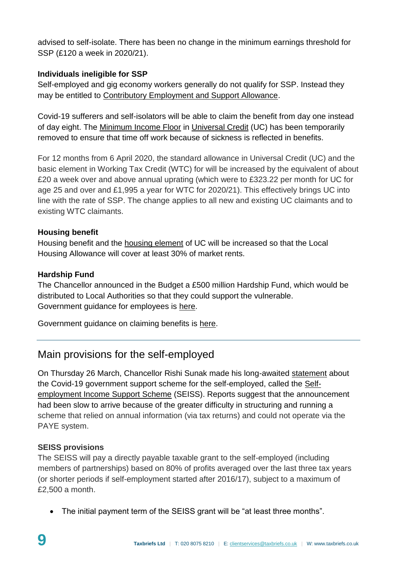advised to self-isolate. There has been no change in the minimum earnings threshold for SSP (£120 a week in 2020/21).

## **Individuals ineligible for SSP**

Self-employed and gig economy workers generally do not qualify for SSP. Instead they may be entitled to [Contributory Employment and Support Allowance.](https://www.gov.uk/employment-support-allowance)

Covid-19 sufferers and self-isolators will be able to claim the benefit from day one instead of day eight. The [Minimum Income Floor](https://www.understandinguniversalcredit.gov.uk/new-to-universal-credit/self-employment/) in [Universal Credit](https://www.understandinguniversalcredit.gov.uk/new-to-universal-credit/is-it-for-me/) (UC) has been temporarily removed to ensure that time off work because of sickness is reflected in benefits.

For 12 months from 6 April 2020, the standard allowance in Universal Credit (UC) and the basic element in Working Tax Credit (WTC) for will be increased by the equivalent of about £20 a week over and above annual uprating (which were to £323.22 per month for UC for age 25 and over and £1,995 a year for WTC for 2020/21). This effectively brings UC into line with the rate of SSP. The change applies to all new and existing UC claimants and to existing WTC claimants.

## **Housing benefit**

Housing benefit and the [housing element](https://www.understandinguniversalcredit.gov.uk/new-to-universal-credit/housing/) of UC will be increased so that the Local Housing Allowance will cover at least 30% of market rents.

# **Hardship Fund**

The Chancellor announced in the Budget a £500 million Hardship Fund, which would be distributed to Local Authorities so that they could support the vulnerable. Government guidance for employees is [here.](https://www.gov.uk/government/publications/guidance-to-employers-and-businesses-about-covid-19/covid-19-guidance-for-employees)

Government guidance on claiming benefits is [here.](https://www.understandinguniversalcredit.gov.uk/coronavirus/)

# Main provisions for the self-employed

On Thursday 26 March, Chancellor Rishi Sunak made his long-awaited [statement](https://www.gov.uk/government/news/chancellor-gives-support-to-millions-of-self-employed-individuals) about the Covid-19 government support scheme for the self-employed, called the [Self](https://www.gov.uk/guidance/claim-a-grant-through-the-coronavirus-covid-19-self-employment-income-support-scheme)[employment Income Support Scheme](https://www.gov.uk/guidance/claim-a-grant-through-the-coronavirus-covid-19-self-employment-income-support-scheme) (SEISS). Reports suggest that the announcement had been slow to arrive because of the greater difficulty in structuring and running a scheme that relied on annual information (via tax returns) and could not operate via the PAYE system.

## **SEISS provisions**

The SEISS will pay a directly payable taxable grant to the self-employed (including members of partnerships) based on 80% of profits averaged over the last three tax years (or shorter periods if self-employment started after 2016/17), subject to a maximum of £2,500 a month.

The initial payment term of the SEISS grant will be "at least three months".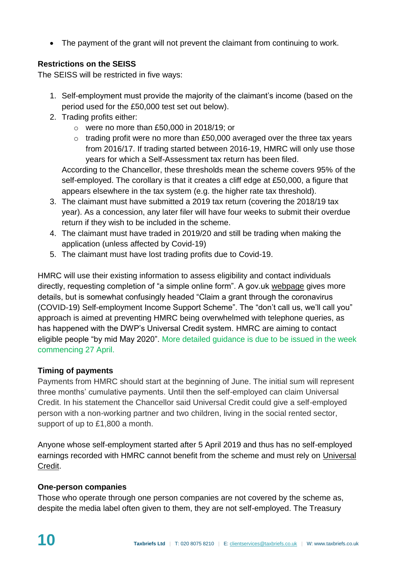The payment of the grant will not prevent the claimant from continuing to work.

# **Restrictions on the SEISS**

The SEISS will be restricted in five ways:

- 1. Self-employment must provide the majority of the claimant's income (based on the period used for the £50,000 test set out below).
- 2. Trading profits either:
	- o were no more than £50,000 in 2018/19; or
	- $\circ$  trading profit were no more than £50,000 averaged over the three tax years from 2016/17. If trading started between 2016-19, HMRC will only use those years for which a Self-Assessment tax return has been filed. According to the Chancellor, these thresholds mean the scheme covers 95% of the

self-employed. The corollary is that it creates a cliff edge at £50,000, a figure that appears elsewhere in the tax system (e.g. the higher rate tax threshold).

- 3. The claimant must have submitted a 2019 tax return (covering the 2018/19 tax year). As a concession, any later filer will have four weeks to submit their overdue return if they wish to be included in the scheme.
- 4. The claimant must have traded in 2019/20 and still be trading when making the application (unless affected by Covid-19)
- 5. The claimant must have lost trading profits due to Covid-19.

HMRC will use their existing information to assess eligibility and contact individuals directly, requesting completion of "a simple online form". A gov.uk [webpage](https://www.gov.uk/guidance/claim-a-grant-through-the-coronavirus-covid-19-self-employment-income-support-scheme) gives more details, but is somewhat confusingly headed "Claim a grant through the coronavirus (COVID-19) Self-employment Income Support Scheme". The "don't call us, we'll call you" approach is aimed at preventing HMRC being overwhelmed with telephone queries, as has happened with the DWP's Universal Credit system. HMRC are aiming to contact eligible people "by mid May 2020". More detailed guidance is due to be issued in the week commencing 27 April.

# **Timing of payments**

Payments from HMRC should start at the beginning of June. The initial sum will represent three months' cumulative payments. Until then the self-employed can claim Universal Credit. In his statement the Chancellor said Universal Credit could give a self-employed person with a non-working partner and two children, living in the social rented sector, support of up to £1,800 a month.

Anyone whose self-employment started after 5 April 2019 and thus has no self-employed earnings recorded with HMRC cannot benefit from the scheme and must rely on [Universal](https://www.understandinguniversalcredit.gov.uk/new-to-universal-credit/self-employment/)  [Credit.](https://www.understandinguniversalcredit.gov.uk/new-to-universal-credit/self-employment/)

## **One-person companies**

Those who operate through one person companies are not covered by the scheme as, despite the media label often given to them, they are not self-employed. The Treasury